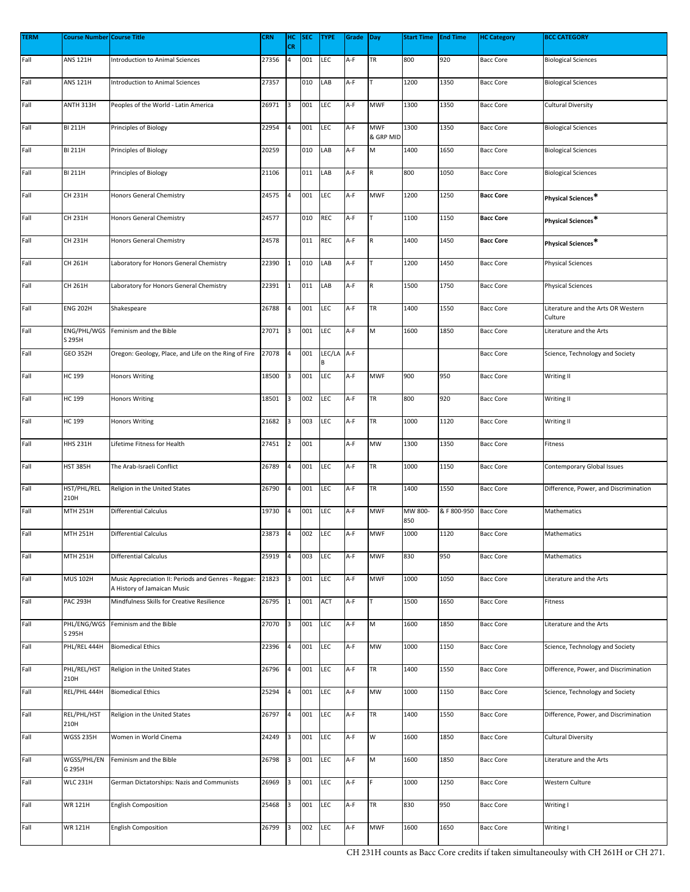| <b>TERM</b> | <b>Course Number Course Title</b> |                                                                                    | <b>CRN</b> | HC<br>CR       | <b>SEC</b> | <b>TYPE</b>     | Grade Day |                         | <b>Start Time</b> | <b>End Time</b> | <b>HC Category</b> | <b>BCC CATEGORY</b>                           |
|-------------|-----------------------------------|------------------------------------------------------------------------------------|------------|----------------|------------|-----------------|-----------|-------------------------|-------------------|-----------------|--------------------|-----------------------------------------------|
| Fall        | <b>ANS 121H</b>                   | <b>Introduction to Animal Sciences</b>                                             | 27356      | $\overline{a}$ | 001        | <b>LEC</b>      | A-F       | TR                      | 800               | 920             | <b>Bacc Core</b>   | <b>Biological Sciences</b>                    |
| Fall        | <b>ANS 121H</b>                   | <b>Introduction to Animal Sciences</b>                                             | 27357      |                | 010        | LAB             | A-F       |                         | 1200              | 1350            | <b>Bacc Core</b>   | <b>Biological Sciences</b>                    |
| Fall        | ANTH 313H                         | Peoples of the World - Latin America                                               | 26971      | 3              | 001        | LEC             | A-F       | <b>MWF</b>              | 1300              | 1350            | <b>Bacc Core</b>   | Cultural Diversity                            |
| Fall        | <b>BI 211H</b>                    | Principles of Biology                                                              | 22954      | 4              | 001        | LEC             | A-F       | <b>MWF</b><br>& GRP MID | 1300              | 1350            | <b>Bacc Core</b>   | <b>Biological Sciences</b>                    |
| Fall        | <b>BI 211H</b>                    | Principles of Biology                                                              | 20259      |                | 010        | LAB             | A-F       | M                       | 1400              | 1650            | <b>Bacc Core</b>   | <b>Biological Sciences</b>                    |
| Fall        | <b>BI 211H</b>                    | Principles of Biology                                                              | 21106      |                | 011        | LAB             | A-F       |                         | 800               | 1050            | <b>Bacc Core</b>   | <b>Biological Sciences</b>                    |
| Fall        | <b>CH 231H</b>                    | Honors General Chemistry                                                           | 24575      | 4              | 001        | <b>LEC</b>      | A-F       | <b>MWF</b>              | 1200              | 1250            | <b>Bacc Core</b>   | Physical Sciences*                            |
| Fall        | CH 231H                           | Honors General Chemistry                                                           | 24577      |                | 010        | <b>REC</b>      | A-F       |                         | 1100              | 1150            | <b>Bacc Core</b>   | Physical Sciences*                            |
| Fall        | <b>CH 231H</b>                    | Honors General Chemistry                                                           | 24578      |                | 011        | <b>REC</b>      | A-F       | R                       | 1400              | 1450            | <b>Bacc Core</b>   | Physical Sciences*                            |
| Fall        | CH 261H                           | Laboratory for Honors General Chemistry                                            | 22390      | $\mathbf{1}$   | 010        | LAB             | A-F       |                         | 1200              | 1450            | <b>Bacc Core</b>   | <b>Physical Sciences</b>                      |
| Fall        | CH 261H                           | Laboratory for Honors General Chemistry                                            | 22391      | $\mathbf 1$    | 011        | LAB             | A-F       | $\mathsf R$             | 1500              | 1750            | <b>Bacc Core</b>   | <b>Physical Sciences</b>                      |
| Fall        | <b>ENG 202H</b>                   | Shakespeare                                                                        | 26788      | 4              | 001        | LEC             | A-F       | TR                      | 1400              | 1550            | <b>Bacc Core</b>   | Literature and the Arts OR Western<br>Culture |
| Fall        | ENG/PHL/WGS<br>S 295H             | Feminism and the Bible                                                             | 27071      | 3              | 001        | <b>LEC</b>      | A-F       | M                       | 1600              | 1850            | <b>Bacc Core</b>   | Literature and the Arts                       |
| Fall        | <b>GEO 352H</b>                   | Oregon: Geology, Place, and Life on the Ring of Fire                               | 27078      | 4              | 001        | LEC/LA A-F<br>B |           |                         |                   |                 | <b>Bacc Core</b>   | Science, Technology and Society               |
| Fall        | <b>HC 199</b>                     | <b>Honors Writing</b>                                                              | 18500      | 3              | 001        | LEC             | A-F       | <b>MWF</b>              | 900               | 950             | <b>Bacc Core</b>   | Writing II                                    |
| Fall        | <b>HC 199</b>                     | <b>Honors Writing</b>                                                              | 18501      | 3              | 002        | LEC             | A-F       | TR                      | 800               | 920             | <b>Bacc Core</b>   | Writing II                                    |
| Fall        | <b>HC 199</b>                     | <b>Honors Writing</b>                                                              | 21682      | 3              | 003        | LEC             | A-F       | TR                      | 1000              | 1120            | <b>Bacc Core</b>   | Writing II                                    |
| Fall        | <b>HHS 231H</b>                   | Lifetime Fitness for Health                                                        | 27451      | $\overline{2}$ | 001        |                 | A-F       | MW                      | 1300              | 1350            | <b>Bacc Core</b>   | Fitness                                       |
| Fall        | <b>HST 385H</b>                   | The Arab-Israeli Conflict                                                          | 26789      | $\overline{a}$ | 001        | LEC             | A-F       | TR                      | 1000              | 1150            | <b>Bacc Core</b>   | Contemporary Global Issues                    |
| Fall        | HST/PHL/REL<br>210H               | Religion in the United States                                                      | 26790      | 4              | 001        | LEC             | A-F       | TR                      | 1400              | 1550            | <b>Bacc Core</b>   | Difference, Power, and Discrimination         |
| Fall        | <b>MTH 251H</b>                   | <b>Differential Calculus</b>                                                       | 19730      | 4              | 001        | LEC             | A-F       | <b>MWF</b>              | MW 800-<br>850    | & F 800-950     | <b>Bacc Core</b>   | Mathematics                                   |
| Fall        | <b>MTH 251H</b>                   | <b>Differential Calculus</b>                                                       | 23873      | $\overline{a}$ | 002        | LEC             | A-F       | <b>MWF</b>              | 1000              | 1120            | <b>Bacc Core</b>   | Mathematics                                   |
| Fall        | <b>MTH 251H</b>                   | <b>Differential Calculus</b>                                                       | 25919      | 4              | 003        | LEC             | A-F       | <b>MWF</b>              | 830               | 950             | <b>Bacc Core</b>   | Mathematics                                   |
| Fall        | <b>MUS 102H</b>                   | Music Appreciation II: Periods and Genres - Reggae:<br>A History of Jamaican Music | 21823      | 3              | 001        | <b>LEC</b>      | A-F       | <b>MWF</b>              | 1000              | 1050            | <b>Bacc Core</b>   | Literature and the Arts                       |
| Fall        | <b>PAC 293H</b>                   | Mindfulness Skills for Creative Resilience                                         | 26795      | $\mathbf{1}$   | 001        | ACT             | A-F       |                         | 1500              | 1650            | <b>Bacc Core</b>   | Fitness                                       |
| Fall        | PHL/ENG/WGS<br>S 295H             | Feminism and the Bible                                                             | 27070      | 3              | 001        | <b>LEC</b>      | A-F       | M                       | 1600              | 1850            | <b>Bacc Core</b>   | Literature and the Arts                       |
| Fall        | PHL/REL 444H                      | <b>Biomedical Ethics</b>                                                           | 22396      | 4              | 001        | <b>LEC</b>      | A-F       | MW                      | 1000              | 1150            | <b>Bacc Core</b>   | Science, Technology and Society               |
| Fall        | PHL/REL/HST<br>210H               | Religion in the United States                                                      | 26796      | 4              | 001        | LEC             | A-F       | TR                      | 1400              | 1550            | <b>Bacc Core</b>   | Difference, Power, and Discrimination         |
| Fall        | REL/PHL 444H                      | <b>Biomedical Ethics</b>                                                           | 25294      | 4              | 001        | LEC             | A-F       | MW                      | 1000              | 1150            | <b>Bacc Core</b>   | Science, Technology and Society               |
| Fall        | REL/PHL/HST<br>210H               | Religion in the United States                                                      | 26797      | 4              | 001        | LEC             | A-F       | TR                      | 1400              | 1550            | <b>Bacc Core</b>   | Difference, Power, and Discrimination         |
| Fall        | WGSS 235H                         | Women in World Cinema                                                              | 24249      | 3              | 001        | LEC             | A-F       | W                       | 1600              | 1850            | <b>Bacc Core</b>   | <b>Cultural Diversity</b>                     |
| Fall        | WGSS/PHL/EN<br>G 295H             | Feminism and the Bible                                                             | 26798      | 3              | 001        | <b>LEC</b>      | A-F       | M                       | 1600              | 1850            | <b>Bacc Core</b>   | Literature and the Arts                       |
| Fall        | <b>WLC 231H</b>                   | German Dictatorships: Nazis and Communists                                         | 26969      | 3              | 001        | LEC             | A-F       |                         | 1000              | 1250            | <b>Bacc Core</b>   | Western Culture                               |
| Fall        | <b>WR 121H</b>                    | <b>English Composition</b>                                                         | 25468      | 3              | 001        | LEC             | A-F       | TR                      | 830               | 950             | <b>Bacc Core</b>   | Writing I                                     |
| Fall        | <b>WR 121H</b>                    | <b>English Composition</b>                                                         | 26799      | 3              | 002        | LEC             | A-F       | <b>MWF</b>              | 1600              | 1650            | <b>Bacc Core</b>   | Writing I                                     |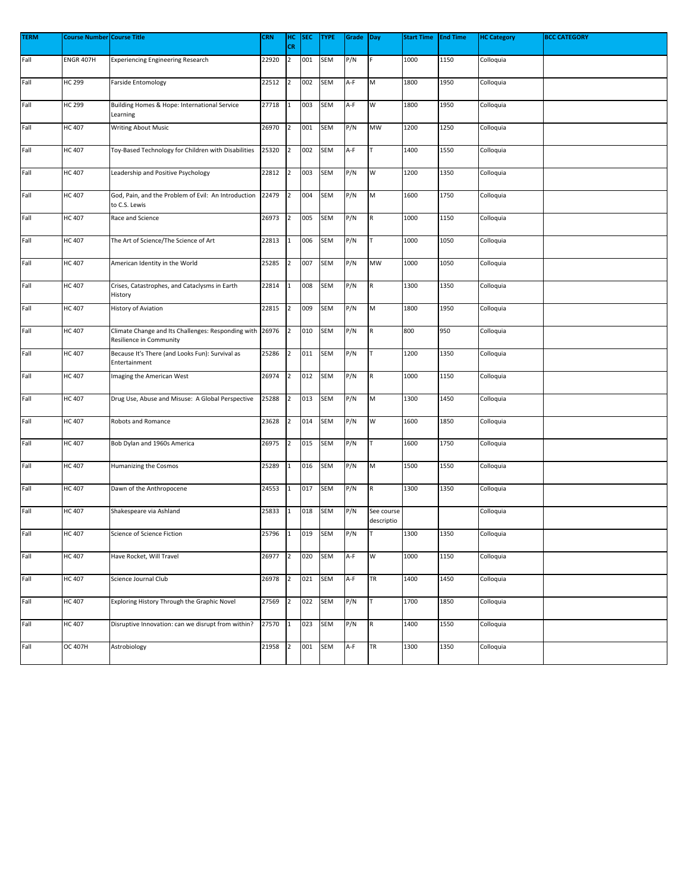| <b>TERM</b> | <b>Course Number Course Title</b> |                                                                               | <b>CRN</b> | нс             | <b>SEC</b> | <b>TYPE</b> | Grade | Day                      | <b>Start Time</b> | <b>End Time</b> | <b>HC Category</b> | <b>BCC CATEGORY</b> |
|-------------|-----------------------------------|-------------------------------------------------------------------------------|------------|----------------|------------|-------------|-------|--------------------------|-------------------|-----------------|--------------------|---------------------|
|             |                                   |                                                                               |            | <b>CR</b>      |            |             |       |                          |                   |                 |                    |                     |
| Fall        | <b>ENGR 407H</b>                  | <b>Experiencing Engineering Research</b>                                      | 22920      | $\overline{2}$ | 001        | <b>SEM</b>  | P/N   |                          | 1000              | 1150            | Colloquia          |                     |
| Fall        | HC 299                            | <b>Farside Entomology</b>                                                     | 22512      | $\overline{2}$ | 002        | SEM         | A-F   | M                        | 1800              | 1950            | Colloquia          |                     |
| Fall        | HC 299                            | Building Homes & Hope: International Service<br>Learning                      | 27718      |                | 003        | <b>SEM</b>  | A-F   | W                        | 1800              | 1950            | Colloquia          |                     |
| Fall        | HC 407                            | <b>Writing About Music</b>                                                    | 26970      | $\overline{2}$ | 001        | <b>SEM</b>  | P/N   | MW                       | 1200              | 1250            | Colloquia          |                     |
| Fall        | <b>HC 407</b>                     | Toy-Based Technology for Children with Disabilities                           | 25320      | $\overline{2}$ | 002        | SEM         | A-F   |                          | 1400              | 1550            | Colloquia          |                     |
| Fall        | HC 407                            | Leadership and Positive Psychology                                            | 22812      | 2              | 003        | SEM         | P/N   | W                        | 1200              | 1350            | Colloquia          |                     |
| Fall        | HC 407                            | God, Pain, and the Problem of Evil: An Introduction<br>to C.S. Lewis          | 22479      | 2              | 004        | <b>SEM</b>  | P/N   | M                        | 1600              | 1750            | Colloquia          |                     |
| Fall        | HC 407                            | Race and Science                                                              | 26973      | $\overline{2}$ | 005        | <b>SEM</b>  | P/N   | R                        | 1000              | 1150            | Colloquia          |                     |
| Fall        | HC 407                            | The Art of Science/The Science of Art                                         | 22813      | 1              | 006        | SEM         | P/N   | T                        | 1000              | 1050            | Colloquia          |                     |
| Fall        | HC 407                            | American Identity in the World                                                | 25285      | 2              | 007        | <b>SEM</b>  | P/N   | MW                       | 1000              | 1050            | Colloquia          |                     |
| Fall        | <b>HC 407</b>                     | Crises, Catastrophes, and Cataclysms in Earth<br>History                      | 22814      | 1              | 008        | <b>SEM</b>  | P/N   | R                        | 1300              | 1350            | Colloquia          |                     |
| Fall        | HC 407                            | History of Aviation                                                           | 22815      | 2              | 009        | SEM         | P/N   | M                        | 1800              | 1950            | Colloquia          |                     |
| Fall        | HC 407                            | Climate Change and Its Challenges: Responding with<br>Resilience in Community | 26976      | 2              | 010        | SEM         | P/N   | R                        | 800               | 950             | Colloquia          |                     |
| Fall        | HC 407                            | Because It's There (and Looks Fun): Survival as<br>Entertainment              | 25286      | $\overline{2}$ | 011        | <b>SEM</b>  | P/N   |                          | 1200              | 1350            | Colloquia          |                     |
| Fall        | <b>HC 407</b>                     | Imaging the American West                                                     | 26974      | 2              | 012        | <b>SEM</b>  | P/N   | $\mathsf R$              | 1000              | 1150            | Colloquia          |                     |
| Fall        | HC 407                            | Drug Use, Abuse and Misuse: A Global Perspective                              | 25288      | $\overline{2}$ | 013        | SEM         | P/N   | M                        | 1300              | 1450            | Colloquia          |                     |
| Fall        | HC 407                            | Robots and Romance                                                            | 23628      | 2              | 014        | <b>SEM</b>  | P/N   | W                        | 1600              | 1850            | Colloquia          |                     |
| Fall        | <b>HC 407</b>                     | Bob Dylan and 1960s America                                                   | 26975      | 2              | 015        | SEM         | P/N   | T                        | 1600              | 1750            | Colloquia          |                     |
| Fall        | <b>HC 407</b>                     | Humanizing the Cosmos                                                         | 25289      | 1              | 016        | <b>SEM</b>  | P/N   | M                        | 1500              | 1550            | Colloquia          |                     |
| Fall        | HC 407                            | Dawn of the Anthropocene                                                      | 24553      | 1              | 017        | <b>SEM</b>  | P/N   | R                        | 1300              | 1350            | Colloquia          |                     |
| Fall        | HC 407                            | Shakespeare via Ashland                                                       | 25833      | $\mathbf{1}$   | 018        | <b>SEM</b>  | P/N   | See course<br>descriptio |                   |                 | Colloquia          |                     |
| Fall        | <b>HC 407</b>                     | Science of Science Fiction                                                    | 25796      | $\mathbf{1}$   | 019        | <b>SEM</b>  | P/N   | Iт                       | 1300              | 1350            | Colloquia          |                     |
| Fall        | HC 407                            | Have Rocket, Will Travel                                                      | 26977      | $\overline{2}$ | 020        | SEM         | A-F   | W                        | 1000              | 1150            | Colloquia          |                     |
| Fall        | HC 407                            | Science Journal Club                                                          | 26978      | $\overline{2}$ | 021        | <b>SEM</b>  | A-F   | <b>TR</b>                | 1400              | 1450            | Colloquia          |                     |
| Fall        | <b>HC 407</b>                     | Exploring History Through the Graphic Novel                                   | 27569      | 2              | 022        | <b>SEM</b>  | P/N   | T                        | 1700              | 1850            | Colloquia          |                     |
| Fall        | HC 407                            | Disruptive Innovation: can we disrupt from within?                            | 27570      | $\mathbf 1$    | 023        | SEM         | P/N   | $\mathsf R$              | 1400              | 1550            | Colloquia          |                     |
| Fall        | OC 407H                           | Astrobiology                                                                  | 21958      | $\overline{2}$ | 001        | <b>SEM</b>  | A-F   | <b>TR</b>                | 1300              | 1350            | Colloquia          |                     |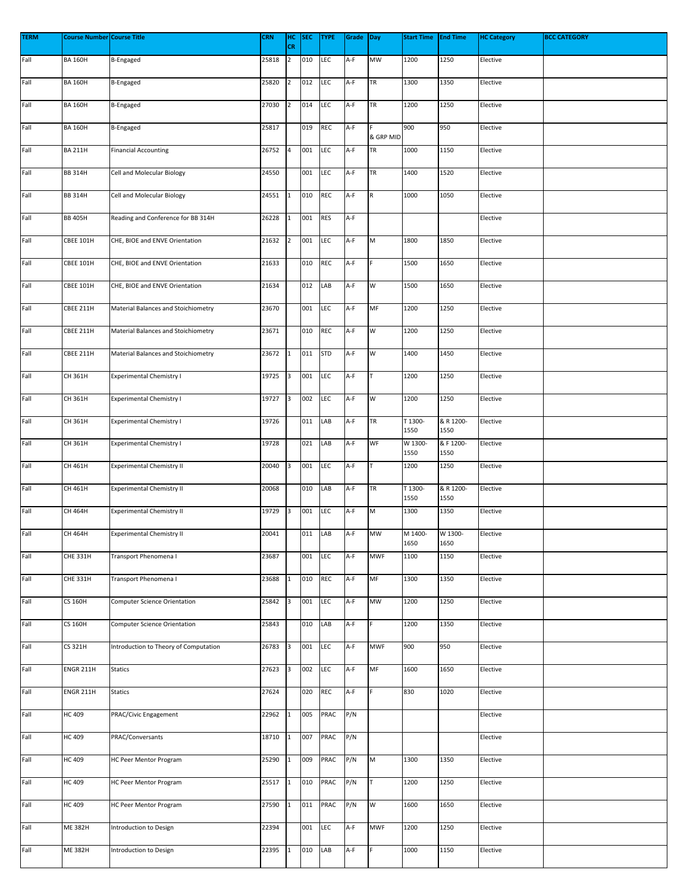| <b>TERM</b> | <b>Course Number Course Title</b> |                                       | <b>CRN</b> | HC<br>CR       | <b>SEC</b> | <b>TYPE</b> | Grade | Day                                                                                   | <b>Start Time</b> | <b>End Time</b>   | <b>HC Category</b> | <b>BCC CATEGORY</b> |
|-------------|-----------------------------------|---------------------------------------|------------|----------------|------------|-------------|-------|---------------------------------------------------------------------------------------|-------------------|-------------------|--------------------|---------------------|
| Fall        | <b>BA 160H</b>                    | B-Engaged                             | 25818      | $\overline{2}$ | 010        | LEC         | A-F   | <b>MW</b>                                                                             | 1200              | 1250              | Elective           |                     |
| Fall        | <b>BA 160H</b>                    | B-Engaged                             | 25820      | $\overline{2}$ | 012        | <b>LEC</b>  | A-F   | <b>TR</b>                                                                             | 1300              | 1350              | Elective           |                     |
| Fall        | <b>BA 160H</b>                    | B-Engaged                             | 27030      | $\overline{2}$ | 014        | LEC         | A-F   | <b>TR</b>                                                                             | 1200              | 1250              | Elective           |                     |
| Fall        | <b>BA 160H</b>                    | B-Engaged                             | 25817      |                | 019        | REC         | A-F   | & GRP MID                                                                             | 900               | 950               | Elective           |                     |
| Fall        | <b>BA 211H</b>                    | <b>Financial Accounting</b>           | 26752      | 4              | 001        | LEC         | A-F   | TR                                                                                    | 1000              | 1150              | Elective           |                     |
| Fall        | <b>BB 314H</b>                    | Cell and Molecular Biology            | 24550      |                | 001        | LEC         | A-F   | TR                                                                                    | 1400              | 1520              | Elective           |                     |
| Fall        | <b>BB 314H</b>                    | Cell and Molecular Biology            | 24551      | 1              | 010        | REC         | A-F   | R                                                                                     | 1000              | 1050              | Elective           |                     |
| Fall        | <b>BB 405H</b>                    | Reading and Conference for BB 314H    | 26228      | 1              | 001        | <b>RES</b>  | A-F   |                                                                                       |                   |                   | Elective           |                     |
| Fall        | <b>CBEE 101H</b>                  | CHE, BIOE and ENVE Orientation        | 21632      | $\overline{2}$ | 001        | LEC         | A-F   | $\mathsf{M}% _{T}=\mathsf{M}_{T}\!\left( a,b\right) ,\ \mathsf{M}_{T}=\mathsf{M}_{T}$ | 1800              | 1850              | Elective           |                     |
| Fall        | <b>CBEE 101H</b>                  | CHE, BIOE and ENVE Orientation        | 21633      |                | 010        | REC         | A-F   |                                                                                       | 1500              | 1650              | Elective           |                     |
| Fall        | <b>CBEE 101H</b>                  | CHE, BIOE and ENVE Orientation        | 21634      |                | 012        | LAB         | A-F   | W                                                                                     | 1500              | 1650              | Elective           |                     |
| Fall        | CBEE 211H                         | Material Balances and Stoichiometry   | 23670      |                | 001        | <b>LEC</b>  | A-F   | MF                                                                                    | 1200              | 1250              | Elective           |                     |
| Fall        | <b>CBEE 211H</b>                  | Material Balances and Stoichiometry   | 23671      |                | 010        | REC         | A-F   | W                                                                                     | 1200              | 1250              | Elective           |                     |
| Fall        | CBEE 211H                         | Material Balances and Stoichiometry   | 23672      | $\mathbf{1}$   | 011        | <b>STD</b>  | A-F   | W                                                                                     | 1400              | 1450              | Elective           |                     |
| Fall        | CH 361H                           | <b>Experimental Chemistry I</b>       | 19725      | 3              | 001        | <b>LEC</b>  | A-F   | T                                                                                     | 1200              | 1250              | Elective           |                     |
| Fall        | CH 361H                           | <b>Experimental Chemistry I</b>       | 19727      | 3              | 002        | LEC         | A-F   | W                                                                                     | 1200              | 1250              | Elective           |                     |
| Fall        | CH 361H                           | <b>Experimental Chemistry I</b>       | 19726      |                | 011        | LAB         | A-F   | <b>TR</b>                                                                             | T 1300-<br>1550   | & R 1200-<br>1550 | Elective           |                     |
| Fall        | CH 361H                           | <b>Experimental Chemistry I</b>       | 19728      |                | 021        | LAB         | A-F   | WF                                                                                    | W 1300-<br>1550   | & F 1200-<br>1550 | Elective           |                     |
| Fall        | CH 461H                           | <b>Experimental Chemistry II</b>      | 20040      | 3              | 001        | LEC         | A-F   |                                                                                       | 1200              | 1250              | Elective           |                     |
| Fall        | CH 461H                           | <b>Experimental Chemistry II</b>      | 20068      |                | 010        | LAB         | A-F   | TR                                                                                    | T 1300-<br>1550   | & R 1200-<br>1550 | Elective           |                     |
| Fall        | CH 464H                           | <b>Experimental Chemistry II</b>      | 19729      | 3              | 001        | LEC         | A-F   | M                                                                                     | 1300              | 1350              | Elective           |                     |
| Fall        | CH 464H                           | <b>Experimental Chemistry II</b>      | 20041      |                | 011        | LAB         | A-F   | <b>MW</b>                                                                             | M 1400-<br>1650   | W 1300-<br>1650   | Elective           |                     |
| Fall        | <b>CHE 331H</b>                   | Transport Phenomena I                 | 23687      |                | 001        | LEC         | A-F   | <b>MWF</b>                                                                            | 1100              | 1150              | Elective           |                     |
| Fall        | <b>CHE 331H</b>                   | Transport Phenomena I                 | 23688      | 1              | 010        | <b>REC</b>  | A-F   | MF                                                                                    | 1300              | 1350              | Elective           |                     |
| Fall        | <b>CS 160H</b>                    | <b>Computer Science Orientation</b>   | 25842      | 3              | 001        | LEC         | A-F   | MW                                                                                    | 1200              | 1250              | Elective           |                     |
| Fall        | <b>CS 160H</b>                    | <b>Computer Science Orientation</b>   | 25843      |                | 010        | LAB         | A-F   |                                                                                       | 1200              | 1350              | Elective           |                     |
| Fall        | <b>CS 321H</b>                    | Introduction to Theory of Computation | 26783      | 3              | 001        | LEC         | A-F   | <b>MWF</b>                                                                            | 900               | 950               | Elective           |                     |
| Fall        | ENGR 211H                         | <b>Statics</b>                        | 27623      | 3              | 002        | LEC         | A-F   | MF                                                                                    | 1600              | 1650              | Elective           |                     |
| Fall        | ENGR 211H                         | <b>Statics</b>                        | 27624      |                | 020        | REC         | A-F   |                                                                                       | 830               | 1020              | Elective           |                     |
| Fall        | <b>HC 409</b>                     | PRAC/Civic Engagement                 | 22962      |                | 005        | PRAC        | P/N   |                                                                                       |                   |                   | Elective           |                     |
| Fall        | <b>HC 409</b>                     | PRAC/Conversants                      | 18710      | 1              | 007        | PRAC        | P/N   |                                                                                       |                   |                   | Elective           |                     |
| Fall        | <b>HC 409</b>                     | HC Peer Mentor Program                | 25290      | $\mathbf{1}$   | 009        | PRAC        | P/N   | ${\sf M}$                                                                             | 1300              | 1350              | Elective           |                     |
| Fall        | <b>HC 409</b>                     | HC Peer Mentor Program                | 25517      | 1              | 010        | PRAC        | P/N   |                                                                                       | 1200              | 1250              | Elective           |                     |
| Fall        | <b>HC 409</b>                     | HC Peer Mentor Program                | 27590      | 1              | 011        | PRAC        | P/N   | W                                                                                     | 1600              | 1650              | Elective           |                     |
| Fall        | <b>ME 382H</b>                    | Introduction to Design                | 22394      |                | 001        | LEC         | A-F   | <b>MWF</b>                                                                            | 1200              | 1250              | Elective           |                     |
| Fall        | <b>ME 382H</b>                    | Introduction to Design                | 22395      | 1              | 010        | LAB         | A-F   |                                                                                       | 1000              | 1150              | Elective           |                     |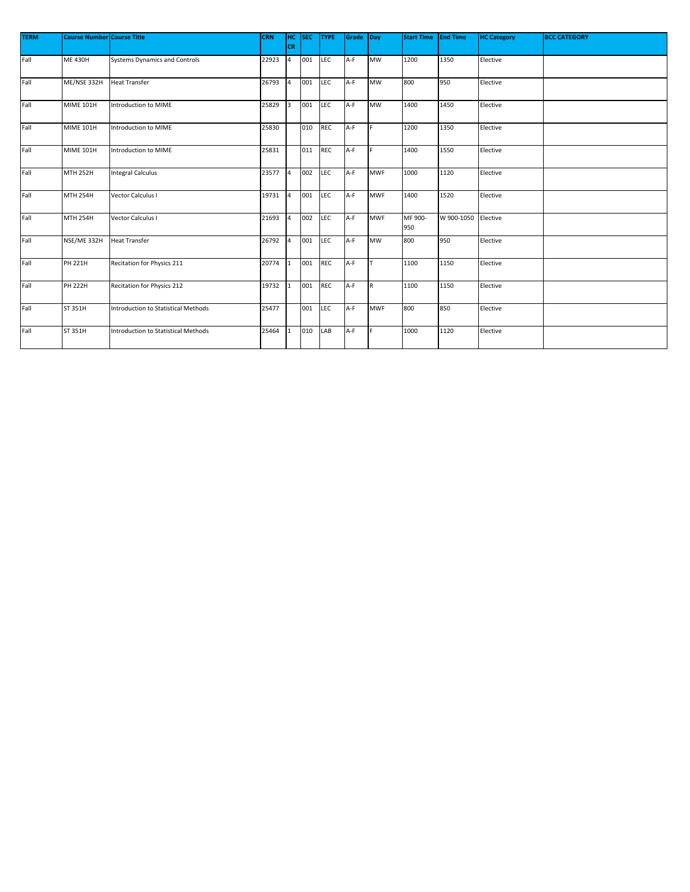| <b>TERM</b> | <b>Course Number Course Title</b> |                                            | <b>CRN</b> | HC.<br><b>CR</b> | <b>SEC</b> | <b>TYPE</b> | Grade Day |             | <b>Start Time</b> | <b>End Time</b>     | <b>HC Category</b> | <b>BCC CATEGORY</b> |
|-------------|-----------------------------------|--------------------------------------------|------------|------------------|------------|-------------|-----------|-------------|-------------------|---------------------|--------------------|---------------------|
| Fall        | <b>ME 430H</b>                    | <b>Systems Dynamics and Controls</b>       | 22923      | 4                | 001        | LEC         | A-F       | <b>MW</b>   | 1200              | 1350                | Elective           |                     |
| Fall        | ME/NSE 332H                       | Heat Transfer                              | 26793      | $\overline{4}$   | 001        | LEC         | $A-F$     | <b>MW</b>   | 800               | 950                 | Elective           |                     |
| Fall        | <b>MIME 101H</b>                  | Introduction to MIME                       | 25829      | 3                | 001        | LEC         | A-F       | <b>MW</b>   | 1400              | 1450                | Elective           |                     |
| Fall        | <b>MIME 101H</b>                  | Introduction to MIME                       | 25830      |                  | 010        | <b>REC</b>  | A-F       | F           | 1200              | 1350                | Elective           |                     |
| Fall        | <b>MIME 101H</b>                  | Introduction to MIME                       | 25831      |                  | 011        | <b>REC</b>  | A-F       | F           | 1400              | 1550                | Elective           |                     |
| Fall        | <b>MTH 252H</b>                   | <b>Integral Calculus</b>                   | 23577      | $\overline{4}$   | 002        | <b>LEC</b>  | A-F       | <b>MWF</b>  | 1000              | 1120                | Elective           |                     |
| Fall        | <b>MTH 254H</b>                   | Vector Calculus I                          | 19731      | $\overline{4}$   | 001        | <b>LEC</b>  | A-F       | <b>MWF</b>  | 1400              | 1520                | Elective           |                     |
| Fall        | <b>MTH 254H</b>                   | Vector Calculus I                          | 21693      | $\overline{4}$   | 002        | LEC         | A-F       | <b>MWF</b>  | MF 900-<br>950    | W 900-1050 Elective |                    |                     |
| Fall        | NSE/ME 332H                       | Heat Transfer                              | 26792      | $\overline{4}$   | 001        | LEC         | A-F       | <b>MW</b>   | 800               | 950                 | Elective           |                     |
| Fall        | PH 221H                           | Recitation for Physics 211                 | 20774      |                  | 001        | <b>REC</b>  | A-F       | lτ          | 1100              | 1150                | Elective           |                     |
| Fall        | <b>PH 222H</b>                    | Recitation for Physics 212                 | 19732      |                  | 001        | <b>REC</b>  | A-F       | $\mathsf R$ | 1100              | 1150                | Elective           |                     |
| Fall        | ST 351H                           | <b>Introduction to Statistical Methods</b> | 25477      |                  | 001        | LEC         | A-F       | <b>MWF</b>  | 800               | 850                 | Elective           |                     |
| Fall        | ST 351H                           | <b>Introduction to Statistical Methods</b> | 25464      |                  | 010        | LAB         | A-F       |             | 1000              | 1120                | Elective           |                     |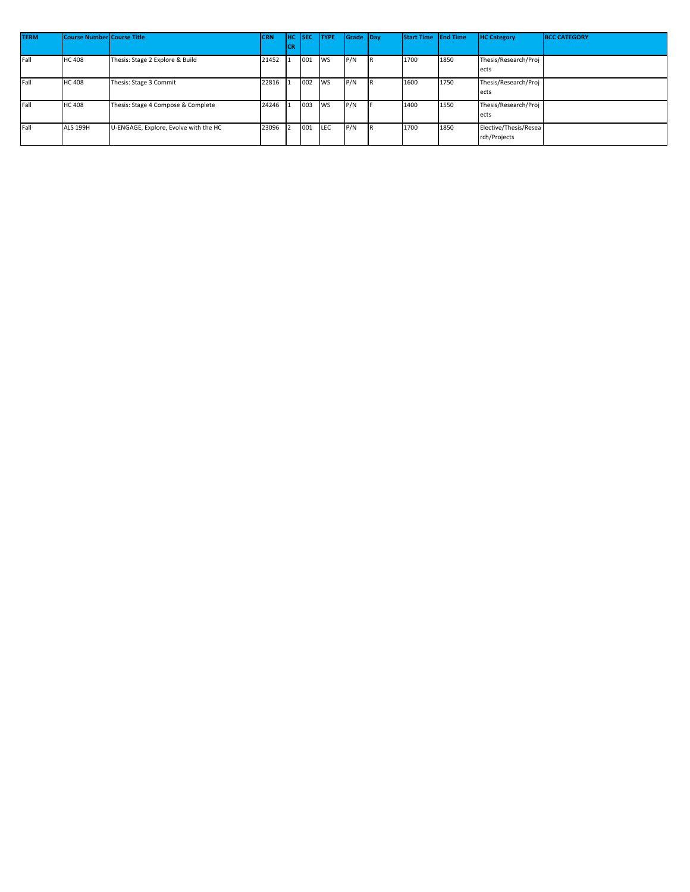| <b>TERM</b> | Course Number Course Title |                                       | <b>CRN</b> | <b>HC</b> SEC |     | <b>TYPE</b> | Grade Day |     | <b>Start Time</b> End Time |      | <b>HC Category</b>    | <b>BCC CATEGORY</b> |
|-------------|----------------------------|---------------------------------------|------------|---------------|-----|-------------|-----------|-----|----------------------------|------|-----------------------|---------------------|
|             |                            |                                       |            | <b>CR</b>     |     |             |           |     |                            |      |                       |                     |
| Fall        | <b>HC 408</b>              | Thesis: Stage 2 Explore & Build       | 21452      |               | 001 | <b>WS</b>   | P/N       | IR. | 1700                       | 1850 | Thesis/Research/Proj  |                     |
|             |                            |                                       |            |               |     |             |           |     |                            |      | ects                  |                     |
| Fall        | <b>HC 408</b>              | Thesis: Stage 3 Commit                | 22816      |               | 002 | <b>WS</b>   | P/N       | IR. | 1600                       | 1750 | Thesis/Research/Proj  |                     |
|             |                            |                                       |            |               |     |             |           |     |                            |      | ects                  |                     |
| Fall        | <b>HC 408</b>              | Thesis: Stage 4 Compose & Complete    | 24246      |               | 003 | <b>WS</b>   | P/N       |     | 1400                       | 1550 | Thesis/Research/Proj  |                     |
|             |                            |                                       |            |               |     |             |           |     |                            |      | ects                  |                     |
| Fall        | <b>ALS 199H</b>            | U-ENGAGE, Explore, Evolve with the HC | 23096      |               | 001 | <b>LEC</b>  | P/N       | IR. | 1700                       | 1850 | Elective/Thesis/Resea |                     |
|             |                            |                                       |            |               |     |             |           |     |                            |      | rch/Projects          |                     |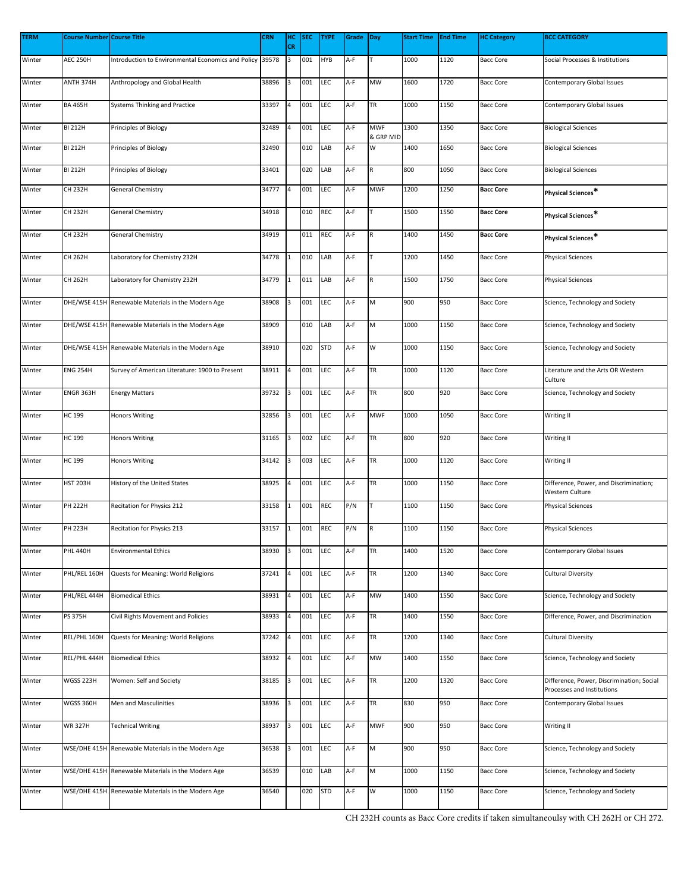| <b>TERM</b> | <b>Course Number Course Title</b> |                                                          | <b>CRN</b> | HC<br><b>CR</b> | <b>SEC</b> | <b>TYPE</b> | Grade Day |                         | <b>Start Time</b> | <b>End Time</b> | <b>HC Category</b> | <b>BCC CATEGORY</b>                                                     |
|-------------|-----------------------------------|----------------------------------------------------------|------------|-----------------|------------|-------------|-----------|-------------------------|-------------------|-----------------|--------------------|-------------------------------------------------------------------------|
| Winter      | <b>AEC 250H</b>                   | Introduction to Environmental Economics and Policy 39578 |            | 3               | 001        | <b>HYB</b>  | A-F       |                         | 1000              | 1120            | <b>Bacc Core</b>   | Social Processes & Institutions                                         |
| Winter      | ANTH 374H                         | Anthropology and Global Health                           | 38896      | 3               | 001        | LEC         | A-F       | MW                      | 1600              | 1720            | <b>Bacc Core</b>   | Contemporary Global Issues                                              |
| Winter      | <b>BA 465H</b>                    | Systems Thinking and Practice                            | 33397      | 4               | 001        | LEC         | A-F       | TR                      | 1000              | 1150            | <b>Bacc Core</b>   | Contemporary Global Issues                                              |
| Winter      | <b>BI 212H</b>                    | Principles of Biology                                    | 32489      | 4               | 001        | <b>LEC</b>  | A-F       | <b>MWF</b><br>& GRP MID | 1300              | 1350            | <b>Bacc Core</b>   | <b>Biological Sciences</b>                                              |
| Winter      | <b>BI 212H</b>                    | Principles of Biology                                    | 32490      |                 | 010        | LAB         | A-F       | W                       | 1400              | 1650            | Bacc Core          | <b>Biological Sciences</b>                                              |
| Winter      | BI 212H                           | Principles of Biology                                    | 33401      |                 | 020        | LAB         | A-F       | R                       | 800               | 1050            | <b>Bacc Core</b>   | <b>Biological Sciences</b>                                              |
| Winter      | CH 232H                           | <b>General Chemistry</b>                                 | 34777      | 4               | 001        | LEC         | A-F       | <b>MWF</b>              | 1200              | 1250            | <b>Bacc Core</b>   | Physical Sciences*                                                      |
| Winter      | CH 232H                           | <b>General Chemistry</b>                                 | 34918      |                 | 010        | REC         | A-F       |                         | 1500              | 1550            | <b>Bacc Core</b>   | Physical Sciences*                                                      |
| Winter      | CH 232H                           | General Chemistry                                        | 34919      |                 | 011        | REC         | A-F       | $\mathsf R$             | 1400              | 1450            | <b>Bacc Core</b>   | Physical Sciences*                                                      |
| Winter      | CH 262H                           | Laboratory for Chemistry 232H                            | 34778      | 1               | 010        | LAB         | A-F       |                         | 1200              | 1450            | <b>Bacc Core</b>   | <b>Physical Sciences</b>                                                |
| Winter      | CH 262H                           | Laboratory for Chemistry 232H                            | 34779      | 1               | 011        | LAB         | A-F       | R                       | 1500              | 1750            | <b>Bacc Core</b>   | <b>Physical Sciences</b>                                                |
| Winter      |                                   | DHE/WSE 415H Renewable Materials in the Modern Age       | 38908      | 3               | 001        | LEC         | A-F       | M                       | 900               | 950             | <b>Bacc Core</b>   | Science, Technology and Society                                         |
| Winter      |                                   | DHE/WSE 415H Renewable Materials in the Modern Age       | 38909      |                 | 010        | LAB         | A-F       | M                       | 1000              | 1150            | <b>Bacc Core</b>   | Science, Technology and Society                                         |
| Winter      |                                   | DHE/WSE 415H Renewable Materials in the Modern Age       | 38910      |                 | 020        | <b>STD</b>  | A-F       | W                       | 1000              | 1150            | <b>Bacc Core</b>   | Science, Technology and Society                                         |
| Winter      | <b>ENG 254H</b>                   | Survey of American Literature: 1900 to Present           | 38911      | $\overline{a}$  | 001        | LEC         | A-F       | TR                      | 1000              | 1120            | <b>Bacc Core</b>   | Literature and the Arts OR Western<br>Culture                           |
| Winter      | ENGR 363H                         | <b>Energy Matters</b>                                    | 39732      | 3               | 001        | LEC         | A-F       | TR                      | 800               | 920             | <b>Bacc Core</b>   | Science, Technology and Society                                         |
| Winter      | HC 199                            | <b>Honors Writing</b>                                    | 32856      | 3               | 001        | <b>LEC</b>  | A-F       | <b>MWF</b>              | 1000              | 1050            | <b>Bacc Core</b>   | Writing II                                                              |
| Winter      | HC 199                            | <b>Honors Writing</b>                                    | 31165      | 3               | 002        | LEC         | A-F       | TR                      | 800               | 920             | <b>Bacc Core</b>   | Writing II                                                              |
| Winter      | HC 199                            | <b>Honors Writing</b>                                    | 34142      | 3               | 003        | LEC         | A-F       | TR                      | 1000              | 1120            | <b>Bacc Core</b>   | Writing II                                                              |
| Winter      | <b>HST 203H</b>                   | History of the United States                             | 38925      | 4               | 001        | <b>LEC</b>  | A-F       | TR                      | 1000              | 1150            | <b>Bacc Core</b>   | Difference, Power, and Discrimination;<br>Western Culture               |
| Winter      | PH 222H                           | Recitation for Physics 212                               | 33158      | 1               | 001        | REC         | P/N       |                         | 1100              | 1150            | <b>Bacc Core</b>   | <b>Physical Sciences</b>                                                |
| Winter      | PH 223H                           | Recitation for Physics 213                               | 33157      | $\mathbf{1}$    | 001        | REC         | P/N       | R                       | 1100              | 1150            | <b>Bacc Core</b>   | <b>Physical Sciences</b>                                                |
| Winter      | <b>PHL 440H</b>                   | <b>Environmental Ethics</b>                              | 38930      | 3               | 001        | LEC         | A-F       | TR                      | 1400              | 1520            | <b>Bacc Core</b>   | Contemporary Global Issues                                              |
| Winter      | PHL/REL 160H                      | Quests for Meaning: World Religions                      | 37241      | 4               | 001        | LEC         | A-F       | TR                      | 1200              | 1340            | <b>Bacc Core</b>   | Cultural Diversity                                                      |
| Winter      | PHL/REL 444H                      | <b>Biomedical Ethics</b>                                 | 38931      | $\overline{4}$  | 001        | LEC         | A-F       | MW                      | 1400              | 1550            | <b>Bacc Core</b>   | Science, Technology and Society                                         |
| Winter      | <b>PS 375H</b>                    | Civil Rights Movement and Policies                       | 38933      | $\overline{a}$  | 001        | LEC         | A-F       | TR                      | 1400              | 1550            | <b>Bacc Core</b>   | Difference, Power, and Discrimination                                   |
| Winter      | REL/PHL 160H                      | Quests for Meaning: World Religions                      | 37242      | 4               | 001        | LEC         | A-F       | TR                      | 1200              | 1340            | <b>Bacc Core</b>   | Cultural Diversity                                                      |
| Winter      | REL/PHL 444H                      | <b>Biomedical Ethics</b>                                 | 38932      |                 | 001        | LEC         | A-F       | MW                      | 1400              | 1550            | <b>Bacc Core</b>   | Science, Technology and Society                                         |
| Winter      | WGSS 223H                         | Women: Self and Society                                  | 38185      | 3               | 001        | LEC         | A-F       | TR                      | 1200              | 1320            | <b>Bacc Core</b>   | Difference, Power, Discrimination; Social<br>Processes and Institutions |
| Winter      | WGSS 360H                         | Men and Masculinities                                    | 38936      | 3               | 001        | <b>LEC</b>  | A-F       | TR                      | 830               | 950             | <b>Bacc Core</b>   | Contemporary Global Issues                                              |
| Winter      | <b>WR 327H</b>                    | <b>Technical Writing</b>                                 | 38937      | 3               | 001        | <b>LEC</b>  | A-F       | <b>MWF</b>              | 900               | 950             | <b>Bacc Core</b>   | Writing II                                                              |
| Winter      |                                   | WSE/DHE 415H Renewable Materials in the Modern Age       | 36538      | 3               | 001        | LEC         | A-F       | M                       | 900               | 950             | <b>Bacc Core</b>   | Science, Technology and Society                                         |
| Winter      |                                   | WSE/DHE 415H Renewable Materials in the Modern Age       | 36539      |                 | 010        | LAB         | A-F       | M                       | 1000              | 1150            | Bacc Core          | Science, Technology and Society                                         |
| Winter      |                                   | WSE/DHE 415H Renewable Materials in the Modern Age       | 36540      |                 | 020        | <b>STD</b>  | A-F       | W                       | 1000              | 1150            | <b>Bacc Core</b>   | Science, Technology and Society                                         |

CH 232H counts as Bacc Core credits if taken simultaneoulsy with CH 262H or CH 272.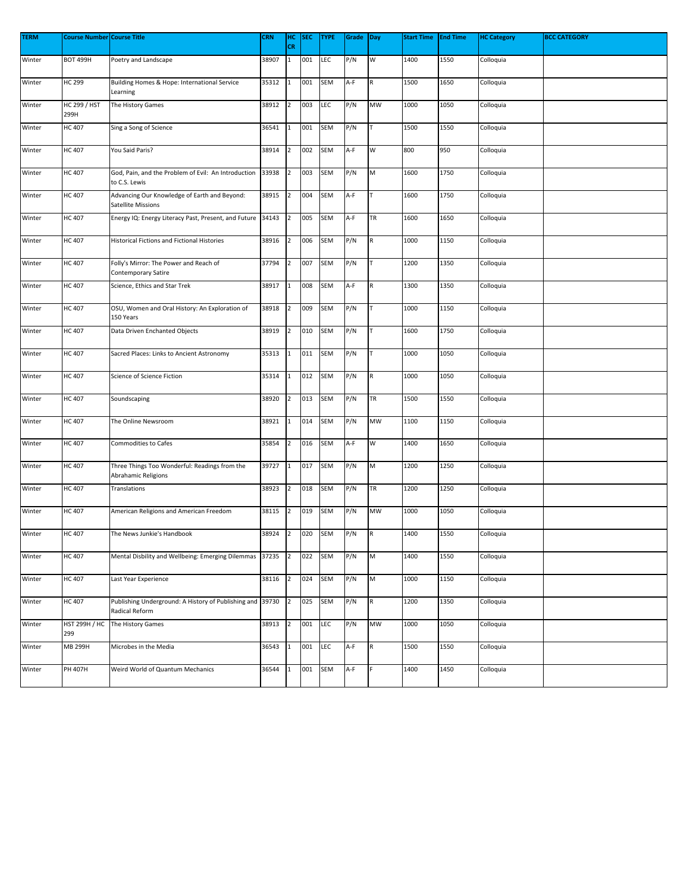| <b>TERM</b> | <b>Course Number Course Title</b> |                                                                             | <b>CRN</b> | HC             | <b>SEC</b> | <b>TYPE</b> | Grade | Day         | <b>Start Time</b> | <b>End Time</b> | <b>HC Category</b> | <b>BCC CATEGORY</b> |
|-------------|-----------------------------------|-----------------------------------------------------------------------------|------------|----------------|------------|-------------|-------|-------------|-------------------|-----------------|--------------------|---------------------|
|             |                                   |                                                                             |            | CR             |            |             |       |             |                   |                 |                    |                     |
| Winter      | <b>ВОТ 499Н</b>                   | Poetry and Landscape                                                        | 38907      | $\mathbf{1}$   | 001        | LEC         | P/N   | W           | 1400              | 1550            | Colloquia          |                     |
| Winter      | <b>HC 299</b>                     | Building Homes & Hope: International Service<br>Learning                    | 35312      | $\mathbf 1$    | 001        | SEM         | A-F   | R           | 1500              | 1650            | Colloquia          |                     |
| Winter      | <b>HC 299 / HST</b><br>299H       | The History Games                                                           | 38912      | $\overline{2}$ | 003        | <b>LEC</b>  | P/N   | MW          | 1000              | 1050            | Colloquia          |                     |
| Winter      | <b>HC 407</b>                     | Sing a Song of Science                                                      | 36541      | $\mathbf{1}$   | 001        | SEM         | P/N   |             | 1500              | 1550            | Colloquia          |                     |
| Winter      | <b>HC 407</b>                     | You Said Paris?                                                             | 38914      | $\overline{2}$ | 002        | SEM         | A-F   | w           | 800               | 950             | Colloquia          |                     |
| Winter      | <b>HC 407</b>                     | God, Pain, and the Problem of Evil: An Introduction<br>to C.S. Lewis        | 33938      | $\overline{2}$ | 003        | SEM         | P/N   | M           | 1600              | 1750            | Colloquia          |                     |
| Winter      | <b>HC 407</b>                     | Advancing Our Knowledge of Earth and Beyond:<br><b>Satellite Missions</b>   | 38915      | $\overline{2}$ | 004        | SEM         | A-F   |             | 1600              | 1750            | Colloquia          |                     |
| Winter      | <b>HC 407</b>                     | Energy IQ: Energy Literacy Past, Present, and Future 34143                  |            | $\overline{2}$ | 005        | SEM         | A-F   | TR          | 1600              | 1650            | Colloquia          |                     |
| Winter      | <b>HC 407</b>                     | <b>Historical Fictions and Fictional Histories</b>                          | 38916      | $\overline{2}$ | 006        | SEM         | P/N   | ${\sf R}$   | 1000              | 1150            | Colloquia          |                     |
| Winter      | <b>HC 407</b>                     | Folly's Mirror: The Power and Reach of<br>Contemporary Satire               | 37794      | $\overline{2}$ | 007        | SEM         | P/N   |             | 1200              | 1350            | Colloquia          |                     |
| Winter      | <b>HC 407</b>                     | Science, Ethics and Star Trek                                               | 38917      | $\mathbf{1}$   | 008        | SEM         | A-F   | R           | 1300              | 1350            | Colloquia          |                     |
| Winter      | <b>HC 407</b>                     | OSU, Women and Oral History: An Exploration of<br>150 Years                 | 38918      | $\overline{2}$ | 009        | <b>SEM</b>  | P/N   |             | 1000              | 1150            | Colloquia          |                     |
| Winter      | <b>HC 407</b>                     | Data Driven Enchanted Objects                                               | 38919      | $\overline{2}$ | 010        | SEM         | P/N   |             | 1600              | 1750            | Colloquia          |                     |
| Winter      | <b>HC 407</b>                     | Sacred Places: Links to Ancient Astronomy                                   | 35313      | $\mathbf 1$    | 011        | SEM         | P/N   |             | 1000              | 1050            | Colloquia          |                     |
| Winter      | <b>HC 407</b>                     | Science of Science Fiction                                                  | 35314      | $\mathbf 1$    | 012        | SEM         | P/N   | R           | 1000              | 1050            | Colloquia          |                     |
| Winter      | <b>HC 407</b>                     | Soundscaping                                                                | 38920      | $\overline{2}$ | 013        | SEM         | P/N   | TR          | 1500              | 1550            | Colloquia          |                     |
| Winter      | <b>HC 407</b>                     | The Online Newsroom                                                         | 38921      | $\mathbf{1}$   | 014        | SEM         | P/N   | MW          | 1100              | 1150            | Colloquia          |                     |
| Winter      | <b>HC 407</b>                     | <b>Commodities to Cafes</b>                                                 | 35854      | $\overline{2}$ | 016        | SEM         | A-F   | W           | 1400              | 1650            | Colloquia          |                     |
| Winter      | <b>HC 407</b>                     | Three Things Too Wonderful: Readings from the<br>Abrahamic Religions        | 39727      | $\mathbf{1}$   | 017        | <b>SEM</b>  | P/N   | M           | 1200              | 1250            | Colloquia          |                     |
| Winter      | <b>HC 407</b>                     | Translations                                                                | 38923      | $\overline{2}$ | 018        | SEM         | P/N   | TR          | 1200              | 1250            | Colloquia          |                     |
| Winter      | <b>HC 407</b>                     | American Religions and American Freedom                                     | 38115      | $\overline{2}$ | 019        | SEM         | P/N   | MW          | 1000              | 1050            | Colloquia          |                     |
| Winter      | <b>HC 407</b>                     | The News Junkie's Handbook                                                  | 38924      | $\overline{2}$ | 020        | SEM         | P/N   | $\mathsf R$ | 1400              | 1550            | Colloquia          |                     |
| Winter      | <b>HC 407</b>                     | Mental Disbility and Wellbeing: Emerging Dilemmas                           | 37235      | $\overline{2}$ | 022        | SEM         | P/N   | M           | 1400              | 1550            | Colloquia          |                     |
| Winter      | <b>HC 407</b>                     | Last Year Experience                                                        | 38116      | $\overline{2}$ | 024        | SEM         | P/N   | M           | 1000              | 1150            | Colloquia          |                     |
| Winter      | <b>HC 407</b>                     | Publishing Underground: A History of Publishing and 39730<br>Radical Reform |            | $\overline{2}$ | 025        | <b>SEM</b>  | P/N   | $\mathsf R$ | 1200              | 1350            | Colloquia          |                     |
| Winter      | <b>HST 299H / HC</b><br>299       | The History Games                                                           | 38913      | $\overline{2}$ | 001        | LEC         | P/N   | MW          | 1000              | 1050            | Colloquia          |                     |
| Winter      | <b>MB 299H</b>                    | Microbes in the Media                                                       | 36543      | $\mathbf 1$    | 001        | <b>LEC</b>  | A-F   | $\mathsf R$ | 1500              | 1550            | Colloquia          |                     |
| Winter      | PH 407H                           | Weird World of Quantum Mechanics                                            | 36544      | $\mathbf{1}$   | 001        | SEM         | A-F   |             | 1400              | 1450            | Colloquia          |                     |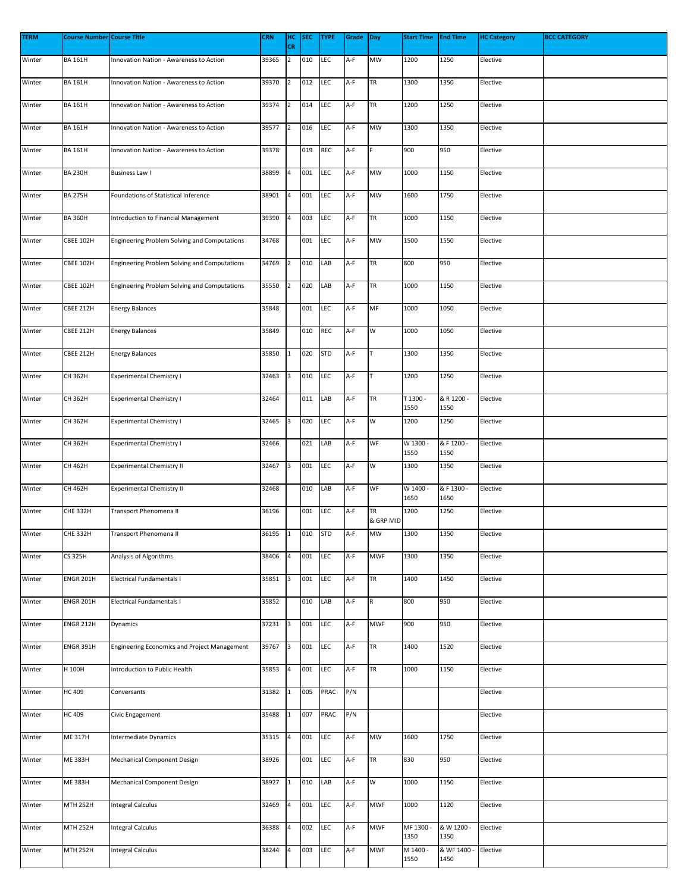| <b>TERM</b> | Course Number Course Title |                                              | <b>CRN</b> | HC<br><b>CR</b> | <b>SEC</b> | <b>TYPE</b> | Grade | Day             | <b>Start Time</b> | <b>End Time</b>     | <b>HC Category</b> | <b>BCC CATEGORY</b> |
|-------------|----------------------------|----------------------------------------------|------------|-----------------|------------|-------------|-------|-----------------|-------------------|---------------------|--------------------|---------------------|
| Winter      | <b>BA 161H</b>             | Innovation Nation - Awareness to Action      | 39365      | $\overline{2}$  | 010        | <b>LEC</b>  | A-F   | MW              | 1200              | 1250                | Elective           |                     |
| Winter      | <b>BA 161H</b>             | Innovation Nation - Awareness to Action      | 39370      | $\overline{2}$  | 012        | <b>LEC</b>  | A-F   | TR              | 1300              | 1350                | Elective           |                     |
| Winter      | <b>BA 161H</b>             | Innovation Nation - Awareness to Action      | 39374      | $\overline{2}$  | 014        | LEC         | A-F   | TR              | 1200              | 1250                | Elective           |                     |
| Winter      | <b>BA 161H</b>             | Innovation Nation - Awareness to Action      | 39577      | $\overline{2}$  | 016        | <b>LEC</b>  | A-F   | MW              | 1300              | 1350                | Elective           |                     |
| Winter      | <b>BA 161H</b>             | Innovation Nation - Awareness to Action      | 39378      |                 | 019        | REC         | A-F   |                 | 900               | 950                 | Elective           |                     |
| Winter      | BA 230H                    | <b>Business Law I</b>                        | 38899      | 4               | 001        | LEC         | A-F   | MW              | 1000              | 1150                | Elective           |                     |
| Winter      | <b>BA 275H</b>             | Foundations of Statistical Inference         | 38901      | 4               | 001        | LEC         | A-F   | MW              | 1600              | 1750                | Elective           |                     |
| Winter      | <b>BA 360H</b>             | Introduction to Financial Management         | 39390      | $\overline{a}$  | 003        | <b>LEC</b>  | A-F   | TR              | 1000              | 1150                | Elective           |                     |
| Winter      | <b>CBEE 102H</b>           | Engineering Problem Solving and Computations | 34768      |                 | 001        | LEC         | A-F   | MW              | 1500              | 1550                | Elective           |                     |
| Winter      | CBEE 102H                  | Engineering Problem Solving and Computations | 34769      | $\overline{2}$  | 010        | LAB         | A-F   | TR              | 800               | 950                 | Elective           |                     |
| Winter      | <b>CBEE 102H</b>           | Engineering Problem Solving and Computations | 35550      | $\overline{2}$  | 020        | LAB         | A-F   | TR              | 1000              | 1150                | Elective           |                     |
| Winter      | CBEE 212H                  | <b>Energy Balances</b>                       | 35848      |                 | 001        | LEC         | A-F   | MF              | 1000              | 1050                | Elective           |                     |
| Winter      | CBEE 212H                  | <b>Energy Balances</b>                       | 35849      |                 | 010        | REC         | A-F   | W               | 1000              | 1050                | Elective           |                     |
| Winter      | CBEE 212H                  | <b>Energy Balances</b>                       | 35850      | 1               | 020        | <b>STD</b>  | A-F   |                 | 1300              | 1350                | Elective           |                     |
| Winter      | CH 362H                    | <b>Experimental Chemistry I</b>              | 32463      | 3               | 010        | <b>LEC</b>  | A-F   |                 | 1200              | 1250                | Elective           |                     |
| Winter      | CH 362H                    | <b>Experimental Chemistry I</b>              | 32464      |                 | 011        | LAB         | A-F   | TR              | T 1300<br>1550    | & R 1200 -<br>1550  | Elective           |                     |
| Winter      | CH 362H                    | <b>Experimental Chemistry I</b>              | 32465      | 3               | 020        | LEC         | A-F   | W               | 1200              | 1250                | Elective           |                     |
| Winter      | CH 362H                    | <b>Experimental Chemistry I</b>              | 32466      |                 | 021        | LAB         | A-F   | WF              | W 1300<br>1550    | & F 1200 -<br>1550  | Elective           |                     |
| Winter      | CH 462H                    | <b>Experimental Chemistry II</b>             | 32467      | 3               | 001        | LEC         | A-F   | W               | 1300              | 1350                | Elective           |                     |
| Winter      | CH 462H                    | <b>Experimental Chemistry II</b>             | 32468      |                 | 010        | LAB         | A-F   | WF              | W 1400 -<br>1650  | & F 1300 -<br>1650  | Elective           |                     |
| Winter      | CHE 332H                   | Transport Phenomena II                       | 36196      |                 | 001        | LEC         | A-F   | TR<br>& GRP MID | 1200              | 1250                | Elective           |                     |
| Winter      | <b>CHE 332H</b>            | Transport Phenomena II                       | 36195 1    |                 | 010 STD    |             | A-F   | MW              | 1300              | 1350                | Elective           |                     |
| Winter      | CS 325H                    | Analysis of Algorithms                       | 38406      | 4               | 001        | <b>LEC</b>  | A-F   | <b>MWF</b>      | 1300              | 1350                | Elective           |                     |
| Winter      | <b>ENGR 201H</b>           | Electrical Fundamentals I                    | 35851      | 3               | 001        | <b>LEC</b>  | A-F   | TR              | 1400              | 1450                | Elective           |                     |
| Winter      | <b>ENGR 201H</b>           | Electrical Fundamentals I                    | 35852      |                 | 010        | LAB         | A-F   | ${\sf R}$       | 800               | 950                 | Elective           |                     |
| Winter      | <b>ENGR 212H</b>           | Dynamics                                     | 37231      | 3               | 001        | <b>LEC</b>  | A-F   | <b>MWF</b>      | 900               | 950                 | Elective           |                     |
| Winter      | <b>ENGR 391H</b>           | Engineering Economics and Project Management | 39767      | 3               | 001        | <b>LEC</b>  | A-F   | TR              | 1400              | 1520                | Elective           |                     |
| Winter      | H 100H                     | Introduction to Public Health                | 35853      | 4               | 001        | LEC         | A-F   | TR              | 1000              | 1150                | Elective           |                     |
| Winter      | HC 409                     | Conversants                                  | 31382      | $\mathbf 1$     | 005        | PRAC        | P/N   |                 |                   |                     | Elective           |                     |
| Winter      | HC 409                     | Civic Engagement                             | 35488      | $\mathbf{1}$    | 007        | PRAC        | P/N   |                 |                   |                     | Elective           |                     |
| Winter      | ME 317H                    | Intermediate Dynamics                        | 35315      | 4               | 001        | LEC         | A-F   | MW              | 1600              | 1750                | Elective           |                     |
| Winter      | <b>ME 383H</b>             | Mechanical Component Design                  | 38926      |                 | 001        | LEC         | A-F   | TR              | 830               | 950                 | Elective           |                     |
| Winter      | ME 383H                    | Mechanical Component Design                  | 38927      | $\mathbf{1}$    | 010        | LAB         | A-F   | w               | 1000              | 1150                | Elective           |                     |
| Winter      | MTH 252H                   | <b>Integral Calculus</b>                     | 32469      | 4               | 001        | LEC         | A-F   | <b>MWF</b>      | 1000              | 1120                | Elective           |                     |
| Winter      | <b>MTH 252H</b>            | <b>Integral Calculus</b>                     | 36388      | 4               | 002        | LEC         | A-F   | <b>MWF</b>      | MF 1300 -<br>1350 | & W 1200 -<br>1350  | Elective           |                     |
| Winter      | MTH 252H                   | <b>Integral Calculus</b>                     | 38244      | 4               | 003        | <b>LEC</b>  | A-F   | <b>MWF</b>      | M 1400 -<br>1550  | & WF 1400 -<br>1450 | Elective           |                     |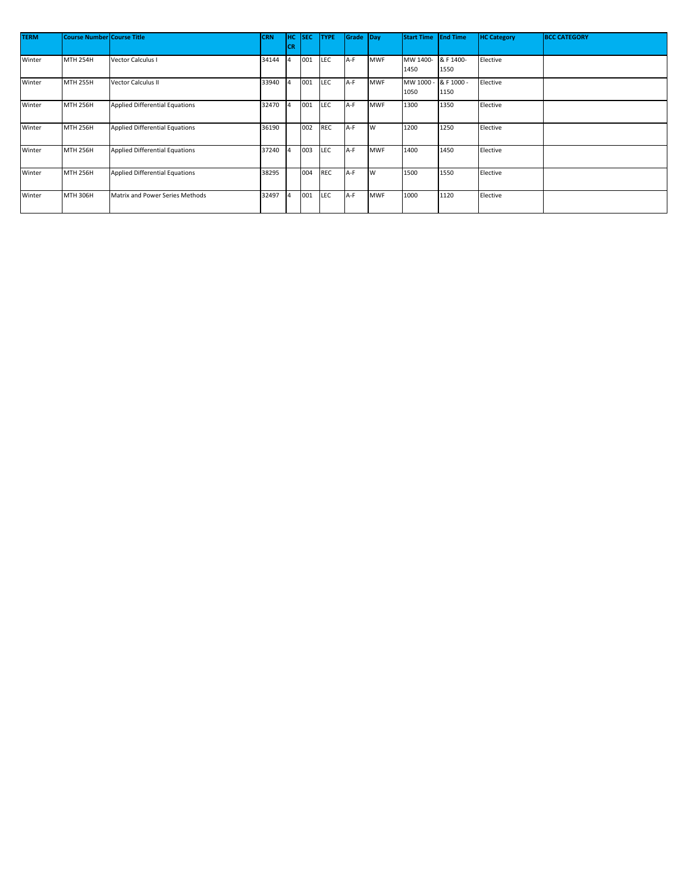| <b>TERM</b> | <b>Course Number Course Title</b> |                                       | <b>CRN</b> | HC.<br>CR | <b>SEC</b> | <b>TYPE</b> | Grade Day |            | <b>Start Time</b> | <b>End Time</b>    | <b>HC Category</b> | <b>BCC CATEGORY</b> |
|-------------|-----------------------------------|---------------------------------------|------------|-----------|------------|-------------|-----------|------------|-------------------|--------------------|--------------------|---------------------|
| Winter      | <b>MTH 254H</b>                   | <b>Vector Calculus I</b>              | 34144      |           | 001        | LEC         | A-F       | <b>MWF</b> | MW 1400-<br>1450  | & F 1400-<br>1550  | Elective           |                     |
| Winter      | <b>MTH 255H</b>                   | Vector Calculus II                    | 33940      |           | 001        | LEC         | A-F       | MWF        | MW 1000 -<br>1050 | & F 1000 -<br>1150 | Elective           |                     |
| Winter      | <b>MTH 256H</b>                   | <b>Applied Differential Equations</b> | 32470      |           | 001        | LEC         | A-F       | <b>MWF</b> | 1300              | 1350               | Elective           |                     |
| Winter      | <b>MTH 256H</b>                   | <b>Applied Differential Equations</b> | 36190      |           | 002        | <b>REC</b>  | A-F       | <b>W</b>   | 1200              | 1250               | Elective           |                     |
| Winter      | <b>MTH 256H</b>                   | <b>Applied Differential Equations</b> | 37240      |           | 003        | LEC         | A-F       | <b>MWF</b> | 1400              | 1450               | Elective           |                     |
| Winter      | <b>MTH 256H</b>                   | <b>Applied Differential Equations</b> | 38295      |           | 004        | <b>REC</b>  | A-F       | <b>W</b>   | 1500              | 1550               | Elective           |                     |
| Winter      | <b>MTH 306H</b>                   | Matrix and Power Series Methods       | 32497      |           | 001        | LEC         | A-F       | MWF        | 1000              | 1120               | Elective           |                     |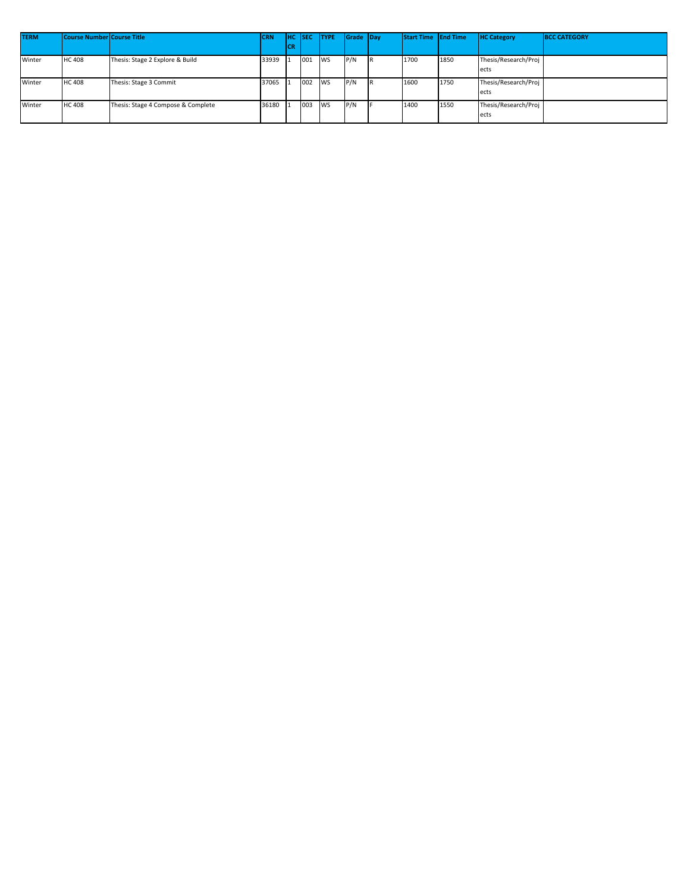| <b>TERM</b> | <b>Course Number Course Title</b> |                                    | <b>CRN</b> |     | <b>HC</b> ISEC | <b>TYPE</b> | Grade Day | Start Time End Time |      | <b>HC Category</b>   | <b>BCC CATEGORY</b> |
|-------------|-----------------------------------|------------------------------------|------------|-----|----------------|-------------|-----------|---------------------|------|----------------------|---------------------|
|             |                                   |                                    |            | lcr |                |             |           |                     |      |                      |                     |
| Winter      | <b>HC 408</b>                     | Thesis: Stage 2 Explore & Build    | 33939      |     | 001            | <b>IWS</b>  | P/N       | 1700                | 1850 | Thesis/Research/Proj |                     |
|             |                                   |                                    |            |     |                |             |           |                     |      | ects                 |                     |
| Winter      | <b>HC 408</b>                     | Thesis: Stage 3 Commit             | 37065      |     | 002 WS         |             | P/N       | 1600                | 1750 | Thesis/Research/Proj |                     |
|             |                                   |                                    |            |     |                |             |           |                     |      | ects                 |                     |
| Winter      | <b>HC 408</b>                     | Thesis: Stage 4 Compose & Complete | 36180      |     | 003 WS         |             | P/N       | 1400                | 1550 | Thesis/Research/Proj |                     |
|             |                                   |                                    |            |     |                |             |           |                     |      | ects                 |                     |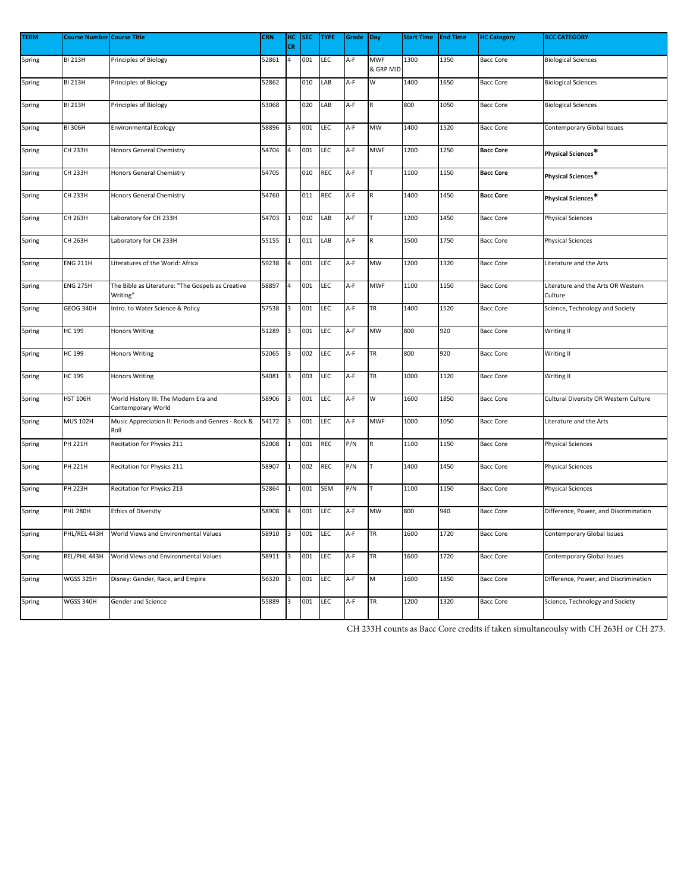| <b>TERM</b> | <b>Course Number Course Title</b> |                                                               | <b>CRN</b> | нс           | SEC | <b>TYPE</b> | Grade | Day                     | <b>Start Time</b> | <b>End Time</b> | <b>HC Category</b> | <b>BCC CATEGORY</b>                           |
|-------------|-----------------------------------|---------------------------------------------------------------|------------|--------------|-----|-------------|-------|-------------------------|-------------------|-----------------|--------------------|-----------------------------------------------|
|             |                                   |                                                               |            | <b>CR</b>    |     |             |       |                         |                   |                 |                    |                                               |
| Spring      | <b>BI 213H</b>                    | Principles of Biology                                         | 52861      | 4            | 001 | LEC         | A-F   | <b>MWF</b><br>& GRP MID | 1300              | 1350            | <b>Bacc Core</b>   | <b>Biological Sciences</b>                    |
| Spring      | <b>BI 213H</b>                    | Principles of Biology                                         | 52862      |              | 010 | LAB         | A-F   | W                       | 1400              | 1650            | <b>Bacc Core</b>   | <b>Biological Sciences</b>                    |
| Spring      | <b>BI 213H</b>                    | Principles of Biology                                         | 53068      |              | 020 | LAB         | A-F   |                         | 800               | 1050            | <b>Bacc Core</b>   | <b>Biological Sciences</b>                    |
| Spring      | <b>BI 306H</b>                    | <b>Environmental Ecology</b>                                  | 58896      | 3            | 001 | LEC         | A-F   | MW                      | 1400              | 1520            | <b>Bacc Core</b>   | Contemporary Global Issues                    |
| Spring      | <b>CH 233H</b>                    | Honors General Chemistry                                      | 54704      | 4            | 001 | LEC         | A-F   | <b>MWF</b>              | 1200              | 1250            | <b>Bacc Core</b>   | Physical Sciences*                            |
| Spring      | CH 233H                           | <b>Honors General Chemistry</b>                               | 54705      |              | 010 | <b>REC</b>  | A-F   |                         | 1100              | 1150            | <b>Bacc Core</b>   | Physical Sciences*                            |
| Spring      | CH 233H                           | Honors General Chemistry                                      | 54760      |              | 011 | REC         | A-F   | R                       | 1400              | 1450            | <b>Bacc Core</b>   | Physical Sciences*                            |
| Spring      | CH 263H                           | Laboratory for CH 233H                                        | 54703      | $\mathbf{1}$ | 010 | LAB         | A-F   | T                       | 1200              | 1450            | <b>Bacc Core</b>   | <b>Physical Sciences</b>                      |
| Spring      | CH 263H                           | Laboratory for CH 233H                                        | 55155      |              | 011 | LAB         | A-F   | ${\sf R}$               | 1500              | 1750            | <b>Bacc Core</b>   | <b>Physical Sciences</b>                      |
| Spring      | <b>ENG 211H</b>                   | Literatures of the World: Africa                              | 59238      | 4            | 001 | LEC         | A-F   | MW                      | 1200              | 1320            | <b>Bacc Core</b>   | Literature and the Arts                       |
| Spring      | <b>ENG 275H</b>                   | The Bible as Literature: "The Gospels as Creative<br>Writing" | 58897      |              | 001 | LEC         | A-F   | <b>MWF</b>              | 1100              | 1150            | <b>Bacc Core</b>   | Literature and the Arts OR Western<br>Culture |
| Spring      | GEOG 340H                         | Intro. to Water Science & Policy                              | 57538      | 3            | 001 | LEC         | A-F   | TR                      | 1400              | 1520            | <b>Bacc Core</b>   | Science, Technology and Society               |
| Spring      | <b>HC 199</b>                     | <b>Honors Writing</b>                                         | 51289      | 3            | 001 | LEC         | A-F   | MW                      | 800               | 920             | <b>Bacc Core</b>   | Writing II                                    |
| Spring      | HC 199                            | <b>Honors Writing</b>                                         | 52065      | 3            | 002 | LEC         | A-F   | TR                      | 800               | 920             | <b>Bacc Core</b>   | Writing II                                    |
| Spring      | <b>HC 199</b>                     | <b>Honors Writing</b>                                         | 54081      | 3            | 003 | LEC         | A-F   | TR                      | 1000              | 1120            | <b>Bacc Core</b>   | Writing II                                    |
| Spring      | <b>HST 106H</b>                   | World History III: The Modern Era and<br>Contemporary World   | 58906      | 3            | 001 | LEC         | A-F   | W                       | 1600              | 1850            | <b>Bacc Core</b>   | Cultural Diversity OR Western Culture         |
| Spring      | <b>MUS 102H</b>                   | Music Appreciation II: Periods and Genres - Rock &<br>Roll    | 54172      | 3            | 001 | LEC         | A-F   | <b>MWF</b>              | 1000              | 1050            | <b>Bacc Core</b>   | Literature and the Arts                       |
| Spring      | PH 221H                           | Recitation for Physics 211                                    | 52008      | 1            | 001 | <b>REC</b>  | P/N   | ${\sf R}$               | 1100              | 1150            | <b>Bacc Core</b>   | <b>Physical Sciences</b>                      |
| Spring      | PH 221H                           | Recitation for Physics 211                                    | 58907      | $\mathbf{1}$ | 002 | REC         | P/N   |                         | 1400              | 1450            | <b>Bacc Core</b>   | <b>Physical Sciences</b>                      |
| Spring      | <b>PH 223H</b>                    | Recitation for Physics 213                                    | 52864      | $\mathbf{1}$ | 001 | SEM         | P/N   |                         | 1100              | 1150            | <b>Bacc Core</b>   | <b>Physical Sciences</b>                      |
| Spring      | <b>PHL 280H</b>                   | <b>Ethics of Diversity</b>                                    | 58908      | 4            | 001 | LEC         | A-F   | <b>MW</b>               | 800               | 940             | <b>Bacc Core</b>   | Difference, Power, and Discrimination         |
| Spring      | PHL/REL 443H                      | World Views and Environmental Values                          | 58910      | 3            | 001 | LEC         | A-F   | TR                      | 1600              | 1720            | <b>Bacc Core</b>   | Contemporary Global Issues                    |
| Spring      | REL/PHL 443H                      | World Views and Environmental Values                          | 58911      | 3            | 001 | LEC         | A-F   | TR                      | 1600              | 1720            | <b>Bacc Core</b>   | <b>Contemporary Global Issues</b>             |
| Spring      | WGSS 325H                         | Disney: Gender, Race, and Empire                              | 56320      | 3            | 001 | LEC         | A-F   | M                       | 1600              | 1850            | <b>Bacc Core</b>   | Difference, Power, and Discrimination         |
| Spring      | WGSS 340H                         | Gender and Science                                            | 55889      | 3            | 001 | LEC         | A-F   | TR                      | 1200              | 1320            | <b>Bacc Core</b>   | Science, Technology and Society               |

CH 233H counts as Bacc Core credits if taken simultaneoulsy with CH 263H or CH 273.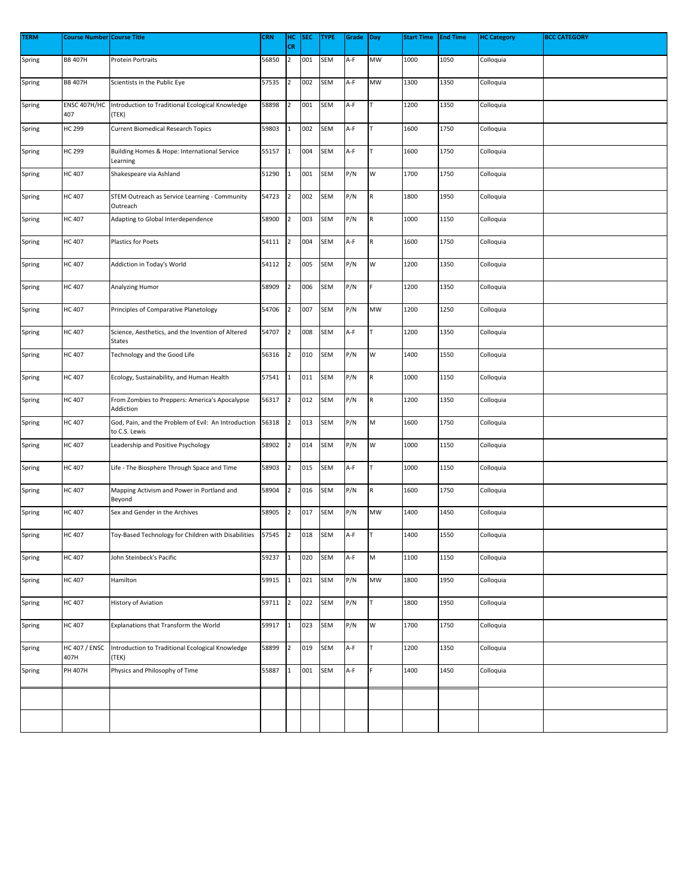| <b>TERM</b> | <b>Course Number Course Title</b> |                                                                      | <b>CRN</b> | HC             | <b>SEC</b> | <b>TYPE</b> | Grade | Day         | <b>Start Time</b> | <b>End Time</b> | <b>HC Category</b> | <b>BCC CATEGORY</b> |
|-------------|-----------------------------------|----------------------------------------------------------------------|------------|----------------|------------|-------------|-------|-------------|-------------------|-----------------|--------------------|---------------------|
|             |                                   |                                                                      |            | CR             |            |             |       |             |                   |                 |                    |                     |
| Spring      | <b>BB 407H</b>                    | <b>Protein Portraits</b>                                             | 56850      | $\overline{2}$ | 001        | SEM         | A-F   | MW          | 1000              | 1050            | Colloquia          |                     |
| Spring      | <b>BB 407H</b>                    | Scientists in the Public Eye                                         | 57535      | $\overline{2}$ | 002        | SEM         | A-F   | MW          | 1300              | 1350            | Colloquia          |                     |
| Spring      | ENSC 407H/HC<br>407               | Introduction to Traditional Ecological Knowledge<br>(TEK)            | 58898      | $\overline{2}$ | 001        | <b>SEM</b>  | A-F   |             | 1200              | 1350            | Colloquia          |                     |
| Spring      | HC 299                            | <b>Current Biomedical Research Topics</b>                            | 59803      | $\mathbf{1}$   | 002        | SEM         | A-F   |             | 1600              | 1750            | Colloquia          |                     |
| Spring      | HC 299                            | Building Homes & Hope: International Service<br>Learning             | 55157      | $\mathbf{1}$   | 004        | SEM         | A-F   |             | 1600              | 1750            | Colloquia          |                     |
| Spring      | HC 407                            | Shakespeare via Ashland                                              | 51290      | 1              | 001        | SEM         | P/N   | W           | 1700              | 1750            | Colloquia          |                     |
| Spring      | HC 407                            | STEM Outreach as Service Learning - Community<br>Outreach            | 54723      | $\overline{2}$ | 002        | SEM         | P/N   | R           | 1800              | 1950            | Colloquia          |                     |
| Spring      | HC 407                            | Adapting to Global Interdependence                                   | 58900      | $\overline{2}$ | 003        | SEM         | P/N   | $\mathsf R$ | 1000              | 1150            | Colloquia          |                     |
| Spring      | HC 407                            | Plastics for Poets                                                   | 54111      | $\overline{2}$ | 004        | SEM         | A-F   | R           | 1600              | 1750            | Colloquia          |                     |
| Spring      | HC 407                            | Addiction in Today's World                                           | 54112      | $\overline{2}$ | 005        | SEM         | P/N   | W           | 1200              | 1350            | Colloquia          |                     |
| Spring      | HC 407                            | Analyzing Humor                                                      | 58909      | $\overline{2}$ | 006        | SEM         | P/N   |             | 1200              | 1350            | Colloquia          |                     |
| Spring      | HC 407                            | Principles of Comparative Planetology                                | 54706      | $\overline{2}$ | 007        | SEM         | P/N   | MW          | 1200              | 1250            | Colloquia          |                     |
| Spring      | HC 407                            | Science, Aesthetics, and the Invention of Altered<br>States          | 54707      | $\overline{2}$ | 008        | SEM         | A-F   |             | 1200              | 1350            | Colloquia          |                     |
| Spring      | HC 407                            | Technology and the Good Life                                         | 56316      | $\overline{2}$ | 010        | SEM         | P/N   | W           | 1400              | 1550            | Colloquia          |                     |
| Spring      | <b>HC 407</b>                     | Ecology, Sustainability, and Human Health                            | 57541      | $\mathbf{1}$   | 011        | SEM         | P/N   | R           | 1000              | 1150            | Colloquia          |                     |
| Spring      | HC 407                            | From Zombies to Preppers: America's Apocalypse<br>Addiction          | 56317      | $\overline{2}$ | 012        | SEM         | P/N   | R           | 1200              | 1350            | Colloquia          |                     |
| Spring      | HC 407                            | God, Pain, and the Problem of Evil: An Introduction<br>to C.S. Lewis | 56318      | $\overline{2}$ | 013        | SEM         | P/N   | M           | 1600              | 1750            | Colloquia          |                     |
| Spring      | <b>HC 407</b>                     | Leadership and Positive Psychology                                   | 58902      | $\overline{2}$ | 014        | SEM         | P/N   | w           | 1000              | 1150            | Colloquia          |                     |
| Spring      | HC 407                            | Life - The Biosphere Through Space and Time                          | 58903      | $\overline{2}$ | 015        | SEM         | A-F   |             | 1000              | 1150            | Colloquia          |                     |
| Spring      | HC 407                            | Mapping Activism and Power in Portland and<br>Beyond                 | 58904      | $\overline{2}$ | 016        | SEM         | P/N   | R           | 1600              | 1750            | Colloquia          |                     |
| Spring      | HC 407                            | Sex and Gender in the Archives                                       | 58905      | $\overline{2}$ | 017        | <b>SEM</b>  | P/N   | MW          | 1400              | 1450            | Colloquia          |                     |
| Spring      | HC 407                            | Toy-Based Technology for Children with Disabilities                  | 57545 2    |                | 018        | SEM         | A-F   |             | 1400              | 1550            | Colloquia          |                     |
| Spring      | HC 407                            | John Steinbeck's Pacific                                             | 59237      | $\mathbf{1}$   | 020        | SEM         | A-F   | M           | 1100              | 1150            | Colloquia          |                     |
| Spring      | HC 407                            | Hamilton                                                             | 59915      | $\mathbf{1}$   | 021        | SEM         | P/N   | MW          | 1800              | 1950            | Colloquia          |                     |
| Spring      | HC 407                            | History of Aviation                                                  | 59711      | $\overline{2}$ | 022        | SEM         | P/N   |             | 1800              | 1950            | Colloquia          |                     |
| Spring      | HC 407                            | Explanations that Transform the World                                | 59917      | $\mathbf{1}$   | 023        | SEM         | P/N   | W           | 1700              | 1750            | Colloquia          |                     |
| Spring      | <b>HC 407 / ENSC</b><br>407H      | Introduction to Traditional Ecological Knowledge<br>(TEK)            | 58899      | $\overline{2}$ | 019        | SEM         | A-F   |             | 1200              | 1350            | Colloquia          |                     |
| Spring      | PH 407H                           | Physics and Philosophy of Time                                       | 55887      | 1              | 001        | SEM         | A-F   |             | 1400              | 1450            | Colloquia          |                     |
|             |                                   |                                                                      |            |                |            |             |       |             |                   |                 |                    |                     |
|             |                                   |                                                                      |            |                |            |             |       |             |                   |                 |                    |                     |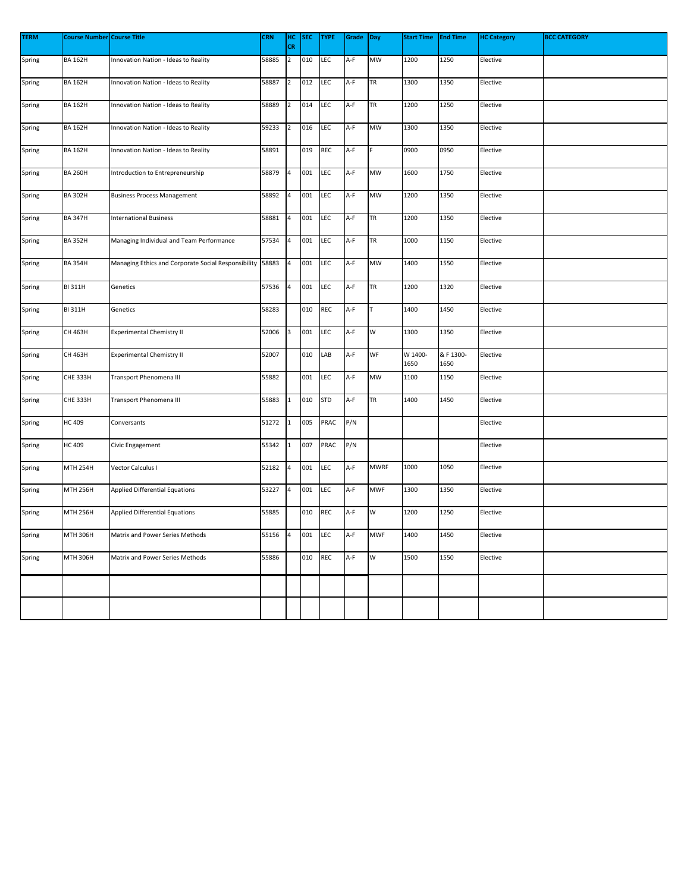| <b>TERM</b> | Course Number Course Title |                                                     | <b>CRN</b> | нc             | <b>SEC</b> | <b>TYPE</b> | Grade | Day         | <b>Start Time</b> | <b>End Time</b>   | <b>HC Category</b> | <b>BCC CATEGORY</b> |
|-------------|----------------------------|-----------------------------------------------------|------------|----------------|------------|-------------|-------|-------------|-------------------|-------------------|--------------------|---------------------|
|             |                            |                                                     |            | <b>CR</b>      |            |             |       |             |                   |                   |                    |                     |
| Spring      | <b>BA 162H</b>             | Innovation Nation - Ideas to Reality                | 58885      | $\overline{2}$ | 010        | LEC         | A-F   | MW          | 1200              | 1250              | Elective           |                     |
| Spring      | <b>BA 162H</b>             | Innovation Nation - Ideas to Reality                | 58887      | $\overline{2}$ | 012        | LEC         | A-F   | <b>TR</b>   | 1300              | 1350              | Elective           |                     |
| Spring      | <b>BA 162H</b>             | Innovation Nation - Ideas to Reality                | 58889      | $\overline{2}$ | 014        | LEC         | A-F   | TR          | 1200              | 1250              | Elective           |                     |
| Spring      | <b>BA 162H</b>             | Innovation Nation - Ideas to Reality                | 59233      | $\overline{2}$ | 016        | LEC         | A-F   | MW          | 1300              | 1350              | Elective           |                     |
| Spring      | <b>BA 162H</b>             | Innovation Nation - Ideas to Reality                | 58891      |                | 019        | REC         | A-F   |             | 0900              | 0950              | Elective           |                     |
| Spring      | <b>BA 260H</b>             | Introduction to Entrepreneurship                    | 58879      | $\overline{a}$ | 001        | LEC         | A-F   | MW          | 1600              | 1750              | Elective           |                     |
| Spring      | <b>BA 302H</b>             | <b>Business Process Management</b>                  | 58892      | 4              | 001        | LEC         | A-F   | MW          | 1200              | 1350              | Elective           |                     |
| Spring      | <b>BA 347H</b>             | <b>International Business</b>                       | 58881      | 4              | 001        | LEC         | A-F   | <b>TR</b>   | 1200              | 1350              | Elective           |                     |
| Spring      | <b>BA 352H</b>             | Managing Individual and Team Performance            | 57534      | 4              | 001        | LEC         | A-F   | <b>TR</b>   | 1000              | 1150              | Elective           |                     |
| Spring      | <b>BA 354H</b>             | Managing Ethics and Corporate Social Responsibility | 58883      | $\overline{4}$ | 001        | LEC         | A-F   | MW          | 1400              | 1550              | Elective           |                     |
| Spring      | <b>BI 311H</b>             | Genetics                                            | 57536      | 4              | 001        | LEC         | A-F   | <b>TR</b>   | 1200              | 1320              | Elective           |                     |
| Spring      | <b>BI 311H</b>             | Genetics                                            | 58283      |                | 010        | <b>REC</b>  | A-F   |             | 1400              | 1450              | Elective           |                     |
| Spring      | CH 463H                    | <b>Experimental Chemistry II</b>                    | 52006      | 3              | 001        | LEC         | A-F   | W           | 1300              | 1350              | Elective           |                     |
| Spring      | CH 463H                    | <b>Experimental Chemistry II</b>                    | 52007      |                | 010        | LAB         | A-F   | WF          | W 1400-<br>1650   | & F 1300-<br>1650 | Elective           |                     |
| Spring      | <b>CHE 333H</b>            | Transport Phenomena III                             | 55882      |                | 001        | LEC         | A-F   | MW          | 1100              | 1150              | Elective           |                     |
| Spring      | <b>CHE 333H</b>            | Transport Phenomena III                             | 55883      | $\mathbf{1}$   | 010        | <b>STD</b>  | A-F   | <b>TR</b>   | 1400              | 1450              | Elective           |                     |
| Spring      | <b>HC 409</b>              | Conversants                                         | 51272      | $\mathbf 1$    | 005        | PRAC        | P/N   |             |                   |                   | Elective           |                     |
| Spring      | HC 409                     | Civic Engagement                                    | 55342      | $\mathbf 1$    | 007        | PRAC        | P/N   |             |                   |                   | Elective           |                     |
| Spring      | <b>MTH 254H</b>            | Vector Calculus I                                   | 52182      | 4              | 001        | LEC         | A-F   | <b>MWRF</b> | 1000              | 1050              | Elective           |                     |
| Spring      | MTH 256H                   | <b>Applied Differential Equations</b>               | 53227      | 4              | 001        | LEC         | A-F   | <b>MWF</b>  | 1300              | 1350              | Elective           |                     |
| Spring      | MTH 256H                   | <b>Applied Differential Equations</b>               | 55885      |                | 010        | <b>REC</b>  | A-F   | w           | 1200              | 1250              | Elective           |                     |
| Spring      | MTH 306H                   | Matrix and Power Series Methods                     | 55156      | 4              | 001        | LEC         | A-F   | <b>MWF</b>  | 1400              | 1450              | Elective           |                     |
| Spring      | MTH 306H                   | Matrix and Power Series Methods                     | 55886      |                | 010        | REC         | A-F   | w           | 1500              | 1550              | Elective           |                     |
|             |                            |                                                     |            |                |            |             |       |             |                   |                   |                    |                     |
|             |                            |                                                     |            |                |            |             |       |             |                   |                   |                    |                     |